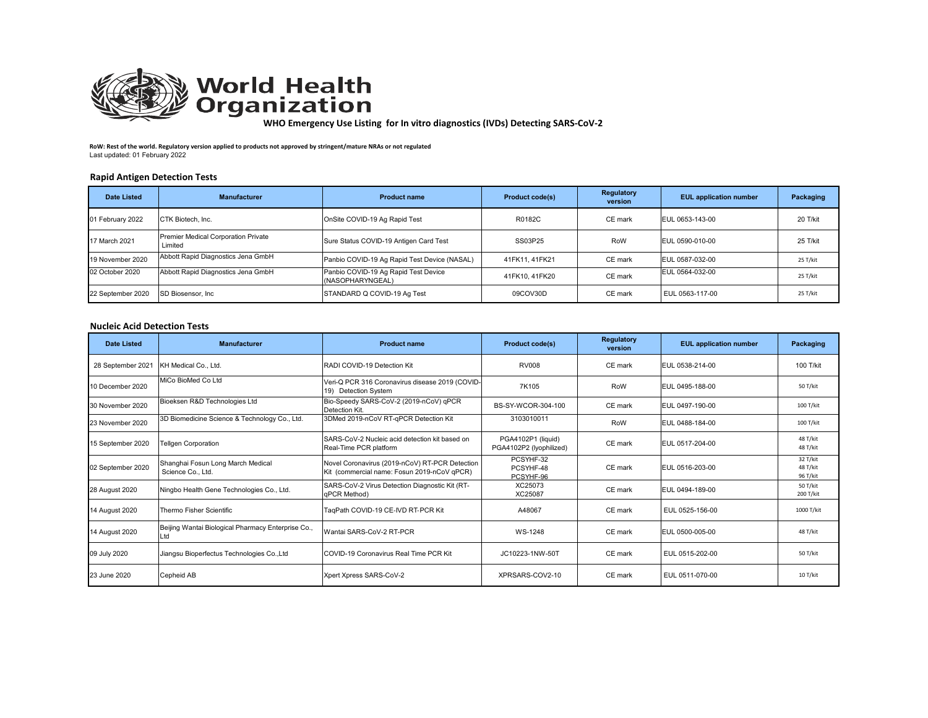

**WHO Emergency Use Listing for In vitro diagnostics (IVDs) Detecting SARS‐CoV‐2** 

**RoW: Rest of the world. Regulatory version applied to products not approved by stringent/mature NRAs or not regulated** Last updated: 01 February 2022

## **Rapid Antigen Detection Tests**

| <b>Date Listed</b> | <b>Manufacturer</b>                            | <b>Product name</b>                                      | <b>Product code(s)</b> | Regulatory<br>version | <b>EUL</b> application number | Packaging |
|--------------------|------------------------------------------------|----------------------------------------------------------|------------------------|-----------------------|-------------------------------|-----------|
| 01 February 2022   | CTK Biotech, Inc.                              | OnSite COVID-19 Ag Rapid Test                            | R0182C                 | CE mark               | EUL 0653-143-00               | 20 T/kit  |
| 17 March 2021      | Premier Medical Corporation Private<br>Limited | Sure Status COVID-19 Antigen Card Test                   | SS03P25                | RoW                   | EUL 0590-010-00               | 25 T/kit  |
| 19 November 2020   | Abbott Rapid Diagnostics Jena GmbH             | Panbio COVID-19 Ag Rapid Test Device (NASAL)             | 41FK11, 41FK21         | CE mark               | EUL 0587-032-00               | 25 T/kit  |
| 02 October 2020    | Abbott Rapid Diagnostics Jena GmbH             | Panbio COVID-19 Ag Rapid Test Device<br>(NASOPHARYNGEAL) | 41FK10, 41FK20         | CE mark               | EUL 0564-032-00               | 25 T/kit  |
| 22 September 2020  | SD Biosensor, Inc.                             | STANDARD Q COVID-19 Ag Test                              | 09COV30D               | CE mark               | EUL 0563-117-00               | 25 T/kit  |

## **Nucleic Acid Detection Tests**

| <b>Date Listed</b> | <b>Manufacturer</b>                                       | <b>Product name</b>                                                                           | <b>Product code(s)</b>                        | <b>Regulatory</b><br>version | <b>EUL</b> application number | Packaging                        |
|--------------------|-----------------------------------------------------------|-----------------------------------------------------------------------------------------------|-----------------------------------------------|------------------------------|-------------------------------|----------------------------------|
| 28 September 202   | KH Medical Co., Ltd.                                      | RADI COVID-19 Detection Kit                                                                   | <b>RV008</b>                                  | CE mark                      | EUL 0538-214-00               | 100 T/kit                        |
| 10 December 2020   | MiCo BioMed Co Ltd                                        | Veri-Q PCR 316 Coronavirus disease 2019 (COVID-<br>19) Detection System                       | 7K105                                         | RoW                          | EUL 0495-188-00               | 50 T/kit                         |
| 30 November 2020   | Bioeksen R&D Technologies Ltd                             | Bio-Speedy SARS-CoV-2 (2019-nCoV) qPCR<br>Detection Kit.                                      | BS-SY-WCOR-304-100                            | CE mark                      | EUL 0497-190-00               | 100 T/kit                        |
| 23 November 2020   | 3D Biomedicine Science & Technology Co., Ltd.             | 3DMed 2019-nCoV RT-qPCR Detection Kit                                                         | 3103010011                                    | RoW                          | EUL 0488-184-00               | 100 T/kit                        |
| 15 September 2020  | <b>Tellgen Corporation</b>                                | SARS-CoV-2 Nucleic acid detection kit based on<br>Real-Time PCR platform                      | PGA4102P1 (liquid)<br>PGA4102P2 (Iyophilized) | CE mark                      | EUL 0517-204-00               | 48 T/kit<br>48 T/kit             |
| 02 September 2020  | Shanghai Fosun Long March Medical<br>Science Co., Ltd.    | Novel Coronavirus (2019-nCoV) RT-PCR Detection<br>Kit (commercial name: Fosun 2019-nCoV qPCR) | PCSYHF-32<br>PCSYHF-48<br>PCSYHF-96           | CE mark                      | EUL 0516-203-00               | 32 T/kit<br>48 T/kit<br>96 T/kit |
| 28 August 2020     | Ningbo Health Gene Technologies Co., Ltd.                 | SARS-CoV-2 Virus Detection Diagnostic Kit (RT-<br>qPCR Method)                                | XC25073<br>XC25087                            | CE mark                      | EUL 0494-189-00               | 50 T/kit<br>200 T/kit            |
| 14 August 2020     | Thermo Fisher Scientific                                  | TaqPath COVID-19 CE-IVD RT-PCR Kit                                                            | A48067                                        | CE mark                      | EUL 0525-156-00               | 1000 T/kit                       |
| 14 August 2020     | Beijing Wantai Biological Pharmacy Enterprise Co.,<br>_td | Wantai SARS-CoV-2 RT-PCR                                                                      | WS-1248                                       | CE mark                      | EUL 0500-005-00               | 48 T/kit                         |
| 09 July 2020       | Jiangsu Bioperfectus Technologies Co.,Ltd                 | COVID-19 Coronavirus Real Time PCR Kit                                                        | JC10223-1NW-50T                               | CE mark                      | EUL 0515-202-00               | 50 T/kit                         |
| 23 June 2020       | Cepheid AB                                                | Xpert Xpress SARS-CoV-2                                                                       | XPRSARS-COV2-10                               | CE mark                      | EUL 0511-070-00               | 10 T/kit                         |